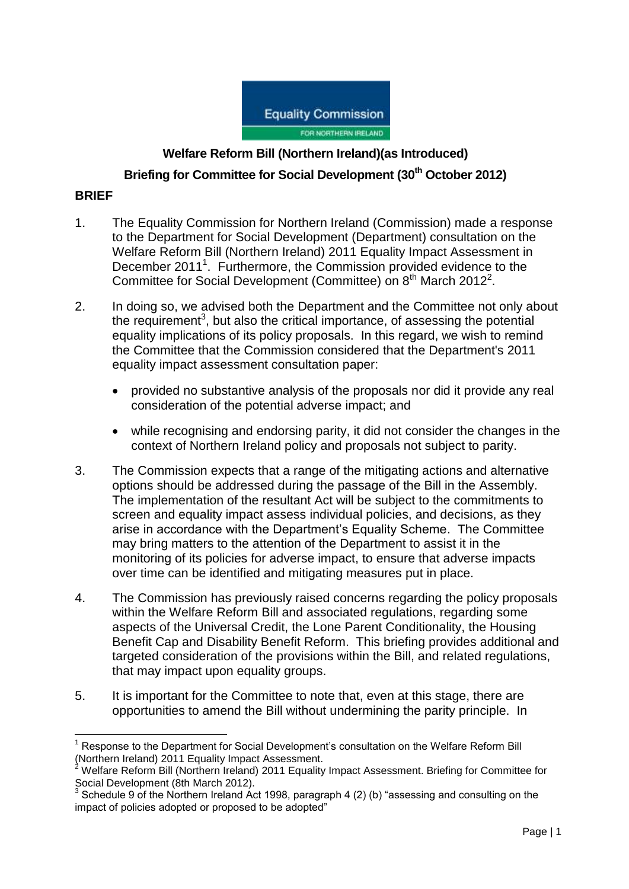

# **Welfare Reform Bill (Northern Ireland)(as Introduced)**

**Briefing for Committee for Social Development (30th October 2012)**

## **BRIEF**

 $\overline{\phantom{a}}$ 

- 1. The Equality Commission for Northern Ireland (Commission) made a response to the Department for Social Development (Department) consultation on the Welfare Reform Bill (Northern Ireland) 2011 Equality Impact Assessment in December 2011<sup>1</sup>. Furthermore, the Commission provided evidence to the Committee for Social Development (Committee) on  $8<sup>th</sup>$  March 2012<sup>2</sup>.
- 2. In doing so, we advised both the Department and the Committee not only about the requirement<sup>3</sup>, but also the critical importance, of assessing the potential equality implications of its policy proposals. In this regard, we wish to remind the Committee that the Commission considered that the Department's 2011 equality impact assessment consultation paper:
	- provided no substantive analysis of the proposals nor did it provide any real consideration of the potential adverse impact; and
	- while recognising and endorsing parity, it did not consider the changes in the context of Northern Ireland policy and proposals not subject to parity.
- 3. The Commission expects that a range of the mitigating actions and alternative options should be addressed during the passage of the Bill in the Assembly. The implementation of the resultant Act will be subject to the commitments to screen and equality impact assess individual policies, and decisions, as they arise in accordance with the Department"s Equality Scheme. The Committee may bring matters to the attention of the Department to assist it in the monitoring of its policies for adverse impact, to ensure that adverse impacts over time can be identified and mitigating measures put in place.
- 4. The Commission has previously raised concerns regarding the policy proposals within the Welfare Reform Bill and associated regulations, regarding some aspects of the Universal Credit, the Lone Parent Conditionality, the Housing Benefit Cap and Disability Benefit Reform. This briefing provides additional and targeted consideration of the provisions within the Bill, and related regulations, that may impact upon equality groups.
- 5. It is important for the Committee to note that, even at this stage, there are opportunities to amend the Bill without undermining the parity principle. In

<sup>&</sup>lt;sup>1</sup> Response to the Department for Social Development's consultation on the Welfare Reform Bill (Northern Ireland) 2011 Equality Impact Assessment.

<sup>2</sup> Welfare Reform Bill (Northern Ireland) 2011 Equality Impact Assessment. Briefing for Committee for Social Development (8th March 2012).<br><sup>3</sup> Sebedule 8 of the Narthern Ireland A

Schedule 9 of the Northern Ireland Act 1998, paragraph 4 (2) (b) "assessing and consulting on the impact of policies adopted or proposed to be adopted"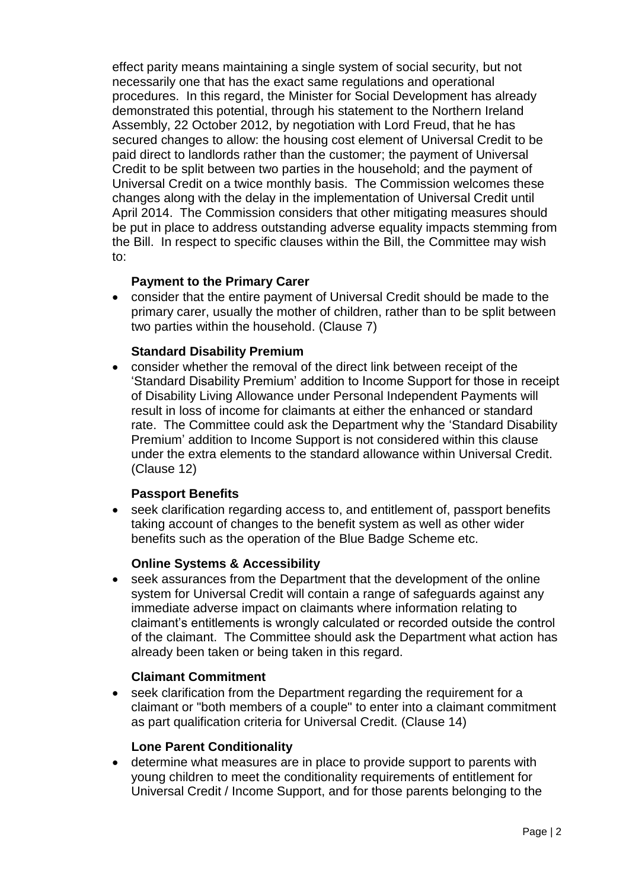effect parity means maintaining a single system of social security, but not necessarily one that has the exact same regulations and operational procedures. In this regard, the Minister for Social Development has already demonstrated this potential, through his statement to the Northern Ireland Assembly, 22 October 2012, by negotiation with Lord Freud, that he has secured changes to allow: the housing cost element of Universal Credit to be paid direct to landlords rather than the customer; the payment of Universal Credit to be split between two parties in the household; and the payment of Universal Credit on a twice monthly basis. The Commission welcomes these changes along with the delay in the implementation of Universal Credit until April 2014. The Commission considers that other mitigating measures should be put in place to address outstanding adverse equality impacts stemming from the Bill. In respect to specific clauses within the Bill, the Committee may wish to:

# **Payment to the Primary Carer**

 consider that the entire payment of Universal Credit should be made to the primary carer, usually the mother of children, rather than to be split between two parties within the household. (Clause 7)

### **Standard Disability Premium**

 consider whether the removal of the direct link between receipt of the "Standard Disability Premium" addition to Income Support for those in receipt of Disability Living Allowance under Personal Independent Payments will result in loss of income for claimants at either the enhanced or standard rate. The Committee could ask the Department why the "Standard Disability Premium" addition to Income Support is not considered within this clause under the extra elements to the standard allowance within Universal Credit. (Clause 12)

### **Passport Benefits**

 seek clarification regarding access to, and entitlement of, passport benefits taking account of changes to the benefit system as well as other wider benefits such as the operation of the Blue Badge Scheme etc.

#### **Online Systems & Accessibility**

 seek assurances from the Department that the development of the online system for Universal Credit will contain a range of safeguards against any immediate adverse impact on claimants where information relating to claimant"s entitlements is wrongly calculated or recorded outside the control of the claimant. The Committee should ask the Department what action has already been taken or being taken in this regard.

#### **Claimant Commitment**

• seek clarification from the Department regarding the requirement for a claimant or "both members of a couple" to enter into a claimant commitment as part qualification criteria for Universal Credit. (Clause 14)

#### **Lone Parent Conditionality**

 determine what measures are in place to provide support to parents with young children to meet the conditionality requirements of entitlement for Universal Credit / Income Support, and for those parents belonging to the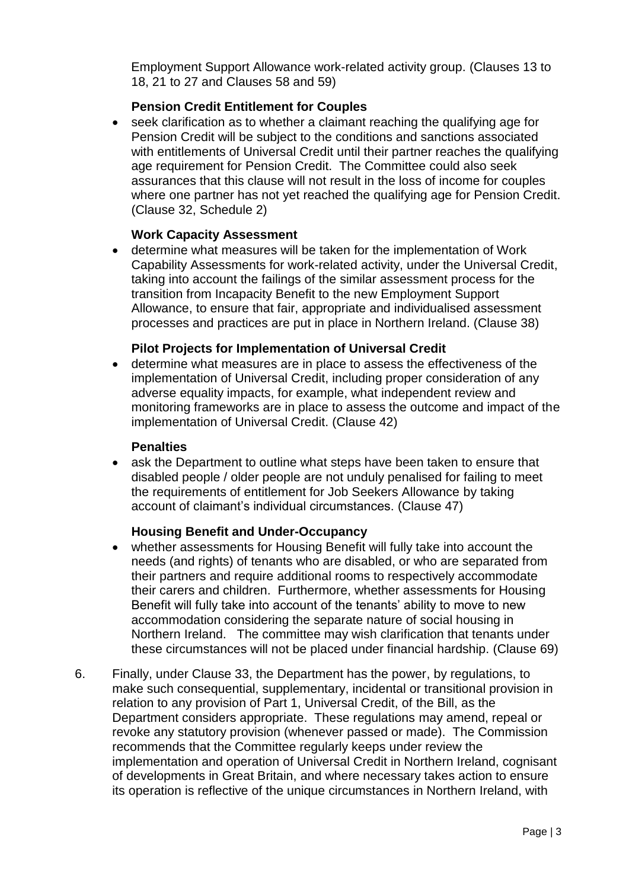Employment Support Allowance work-related activity group. (Clauses 13 to 18, 21 to 27 and Clauses 58 and 59)

# **Pension Credit Entitlement for Couples**

 seek clarification as to whether a claimant reaching the qualifying age for Pension Credit will be subject to the conditions and sanctions associated with entitlements of Universal Credit until their partner reaches the qualifying age requirement for Pension Credit. The Committee could also seek assurances that this clause will not result in the loss of income for couples where one partner has not yet reached the qualifying age for Pension Credit. (Clause 32, Schedule 2)

### **Work Capacity Assessment**

 determine what measures will be taken for the implementation of Work Capability Assessments for work-related activity, under the Universal Credit, taking into account the failings of the similar assessment process for the transition from Incapacity Benefit to the new Employment Support Allowance, to ensure that fair, appropriate and individualised assessment processes and practices are put in place in Northern Ireland. (Clause 38)

#### **Pilot Projects for Implementation of Universal Credit**

 determine what measures are in place to assess the effectiveness of the implementation of Universal Credit, including proper consideration of any adverse equality impacts, for example, what independent review and monitoring frameworks are in place to assess the outcome and impact of the implementation of Universal Credit. (Clause 42)

#### **Penalties**

• ask the Department to outline what steps have been taken to ensure that disabled people / older people are not unduly penalised for failing to meet the requirements of entitlement for Job Seekers Allowance by taking account of claimant"s individual circumstances. (Clause 47)

### **Housing Benefit and Under-Occupancy**

- whether assessments for Housing Benefit will fully take into account the needs (and rights) of tenants who are disabled, or who are separated from their partners and require additional rooms to respectively accommodate their carers and children. Furthermore, whether assessments for Housing Benefit will fully take into account of the tenants' ability to move to new accommodation considering the separate nature of social housing in Northern Ireland. The committee may wish clarification that tenants under these circumstances will not be placed under financial hardship. (Clause 69)
- 6. Finally, under Clause 33, the Department has the power, by regulations, to make such consequential, supplementary, incidental or transitional provision in relation to any provision of Part 1, Universal Credit, of the Bill, as the Department considers appropriate. These regulations may amend, repeal or revoke any statutory provision (whenever passed or made). The Commission recommends that the Committee regularly keeps under review the implementation and operation of Universal Credit in Northern Ireland, cognisant of developments in Great Britain, and where necessary takes action to ensure its operation is reflective of the unique circumstances in Northern Ireland, with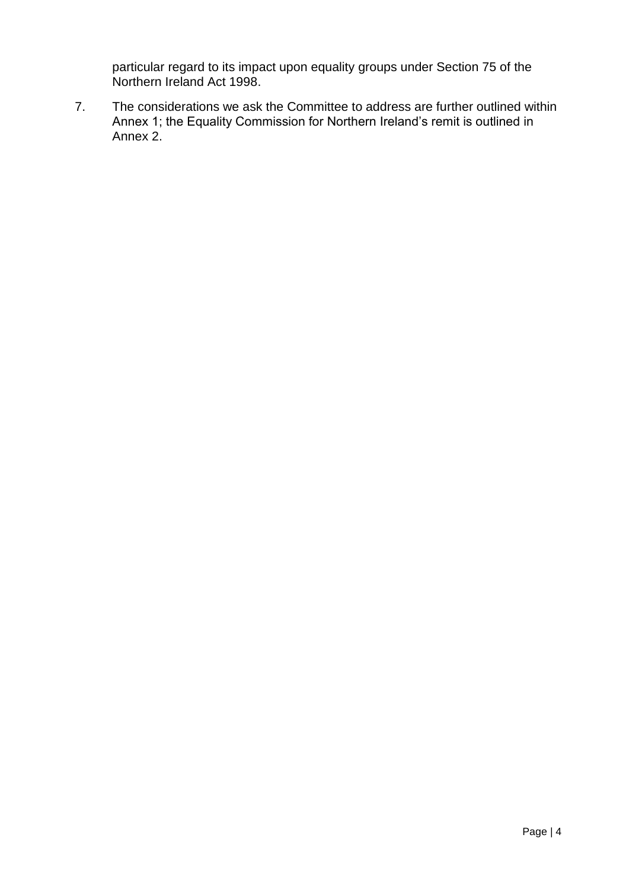particular regard to its impact upon equality groups under Section 75 of the Northern Ireland Act 1998.

7. The considerations we ask the Committee to address are further outlined within Annex 1; the Equality Commission for Northern Ireland's remit is outlined in Annex 2.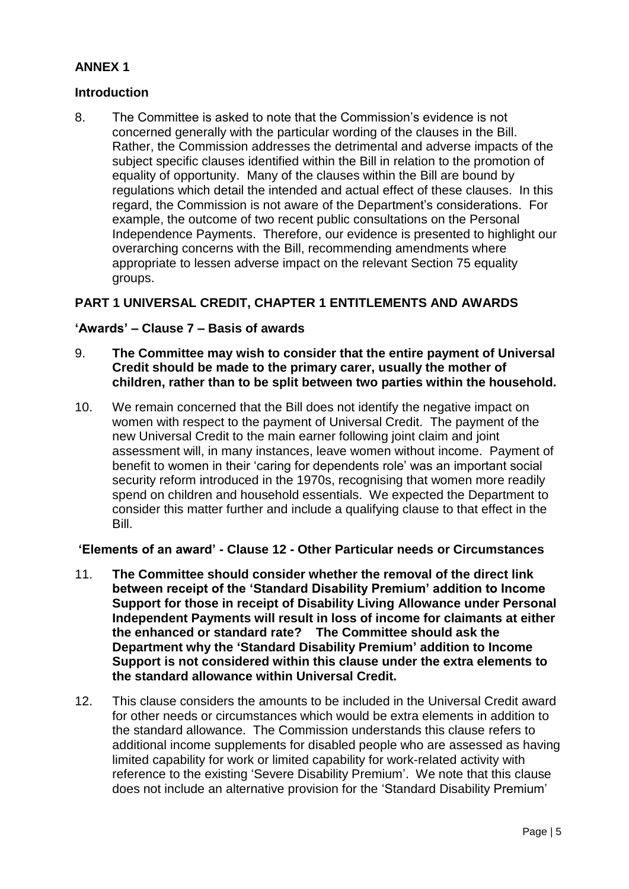# **ANNEX 1**

# **Introduction**

8. The Committee is asked to note that the Commission"s evidence is not concerned generally with the particular wording of the clauses in the Bill. Rather, the Commission addresses the detrimental and adverse impacts of the subject specific clauses identified within the Bill in relation to the promotion of equality of opportunity. Many of the clauses within the Bill are bound by regulations which detail the intended and actual effect of these clauses. In this regard, the Commission is not aware of the Department"s considerations. For example, the outcome of two recent public consultations on the Personal Independence Payments. Therefore, our evidence is presented to highlight our overarching concerns with the Bill, recommending amendments where appropriate to lessen adverse impact on the relevant Section 75 equality groups.

# **PART 1 UNIVERSAL CREDIT, CHAPTER 1 ENTITLEMENTS AND AWARDS**

### **'Awards' – Clause 7 – Basis of awards**

- 9. **The Committee may wish to consider that the entire payment of Universal Credit should be made to the primary carer, usually the mother of children, rather than to be split between two parties within the household.**
- 10. We remain concerned that the Bill does not identify the negative impact on women with respect to the payment of Universal Credit. The payment of the new Universal Credit to the main earner following joint claim and joint assessment will, in many instances, leave women without income. Payment of benefit to women in their "caring for dependents role" was an important social security reform introduced in the 1970s, recognising that women more readily spend on children and household essentials. We expected the Department to consider this matter further and include a qualifying clause to that effect in the Bill.

## **'Elements of an award' - Clause 12 - Other Particular needs or Circumstances**

- 11. **The Committee should consider whether the removal of the direct link between receipt of the 'Standard Disability Premium' addition to Income Support for those in receipt of Disability Living Allowance under Personal Independent Payments will result in loss of income for claimants at either the enhanced or standard rate? The Committee should ask the Department why the 'Standard Disability Premium' addition to Income Support is not considered within this clause under the extra elements to the standard allowance within Universal Credit.**
- 12. This clause considers the amounts to be included in the Universal Credit award for other needs or circumstances which would be extra elements in addition to the standard allowance. The Commission understands this clause refers to additional income supplements for disabled people who are assessed as having limited capability for work or limited capability for work-related activity with reference to the existing "Severe Disability Premium". We note that this clause does not include an alternative provision for the "Standard Disability Premium"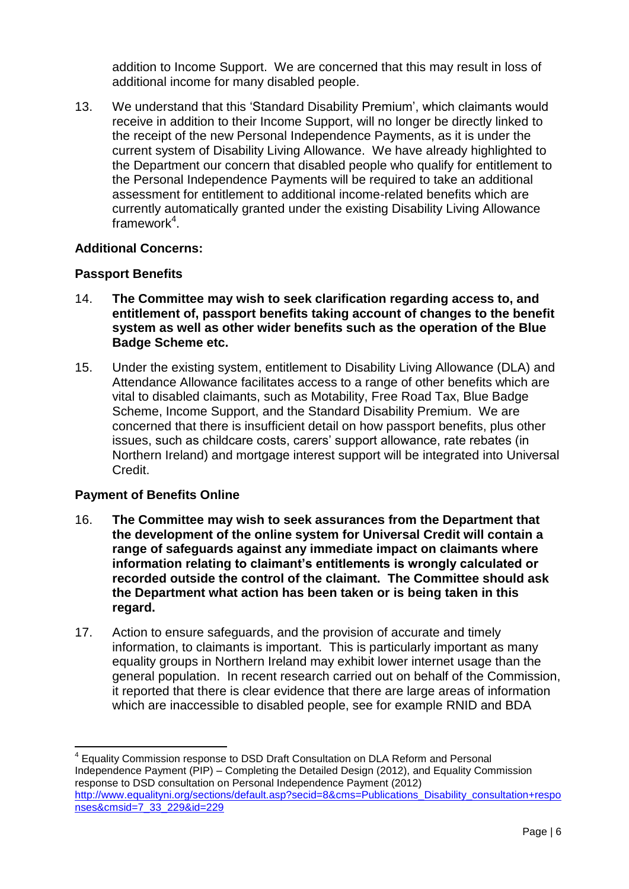addition to Income Support. We are concerned that this may result in loss of additional income for many disabled people.

13. We understand that this "Standard Disability Premium", which claimants would receive in addition to their Income Support, will no longer be directly linked to the receipt of the new Personal Independence Payments, as it is under the current system of Disability Living Allowance. We have already highlighted to the Department our concern that disabled people who qualify for entitlement to the Personal Independence Payments will be required to take an additional assessment for entitlement to additional income-related benefits which are currently automatically granted under the existing Disability Living Allowance framework<sup>4</sup>.

# **Additional Concerns:**

#### **Passport Benefits**

- 14. **The Committee may wish to seek clarification regarding access to, and entitlement of, passport benefits taking account of changes to the benefit system as well as other wider benefits such as the operation of the Blue Badge Scheme etc.**
- 15. Under the existing system, entitlement to Disability Living Allowance (DLA) and Attendance Allowance facilitates access to a range of other benefits which are vital to disabled claimants, such as Motability, Free Road Tax, Blue Badge Scheme, Income Support, and the Standard Disability Premium. We are concerned that there is insufficient detail on how passport benefits, plus other issues, such as childcare costs, carers' support allowance, rate rebates (in Northern Ireland) and mortgage interest support will be integrated into Universal Credit.

### **Payment of Benefits Online**

 $\overline{a}$ 

- 16. **The Committee may wish to seek assurances from the Department that the development of the online system for Universal Credit will contain a range of safeguards against any immediate impact on claimants where information relating to claimant's entitlements is wrongly calculated or recorded outside the control of the claimant. The Committee should ask the Department what action has been taken or is being taken in this regard.**
- 17. Action to ensure safeguards, and the provision of accurate and timely information, to claimants is important. This is particularly important as many equality groups in Northern Ireland may exhibit lower internet usage than the general population. In recent research carried out on behalf of the Commission, it reported that there is clear evidence that there are large areas of information which are inaccessible to disabled people, see for example RNID and BDA

<sup>&</sup>lt;sup>4</sup> Equality Commission response to DSD Draft Consultation on DLA Reform and Personal Independence Payment (PIP) – Completing the Detailed Design (2012), and Equality Commission response to DSD consultation on Personal Independence Payment (2012) [http://www.equalityni.org/sections/default.asp?secid=8&cms=Publications\\_Disability\\_consultation+respo](http://www.equalityni.org/sections/default.asp?secid=8&cms=Publications_Disability_consultation+responses&cmsid=7_33_229&id=229) [nses&cmsid=7\\_33\\_229&id=229](http://www.equalityni.org/sections/default.asp?secid=8&cms=Publications_Disability_consultation+responses&cmsid=7_33_229&id=229)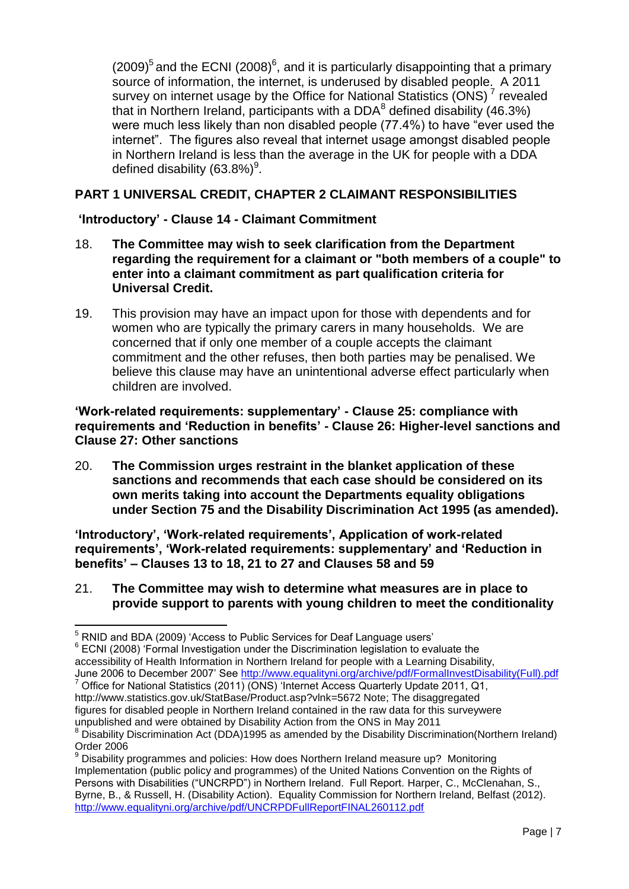$(2009)^5$  and the ECNI  $(2008)^6$ , and it is particularly disappointing that a primary source of information, the internet, is underused by disabled people. A 2011 survey on internet usage by the Office for National Statistics (ONS)<sup>7</sup> revealed that in Northern Ireland, participants with a DDA $^8$  defined disability (46.3%) were much less likely than non disabled people (77.4%) to have "ever used the internet". The figures also reveal that internet usage amongst disabled people in Northern Ireland is less than the average in the UK for people with a DDA defined disability (63.8%) $^9$ .

# **PART 1 UNIVERSAL CREDIT, CHAPTER 2 CLAIMANT RESPONSIBILITIES**

# **'Introductory' - Clause 14 - Claimant Commitment**

- 18. **The Committee may wish to seek clarification from the Department regarding the requirement for a claimant or "both members of a couple" to enter into a claimant commitment as part qualification criteria for Universal Credit.**
- 19. This provision may have an impact upon for those with dependents and for women who are typically the primary carers in many households. We are concerned that if only one member of a couple accepts the claimant commitment and the other refuses, then both parties may be penalised. We believe this clause may have an unintentional adverse effect particularly when children are involved.

#### **'Work-related requirements: supplementary' - Clause 25: compliance with requirements and 'Reduction in benefits' - Clause 26: Higher-level sanctions and Clause 27: Other sanctions**

20. **The Commission urges restraint in the blanket application of these sanctions and recommends that each case should be considered on its own merits taking into account the Departments equality obligations under Section 75 and the Disability Discrimination Act 1995 (as amended).**

**'Introductory', 'Work-related requirements', Application of work-related requirements', 'Work-related requirements: supplementary' and 'Reduction in benefits' – Clauses 13 to 18, 21 to 27 and Clauses 58 and 59**

### 21. **The Committee may wish to determine what measures are in place to provide support to parents with young children to meet the conditionality**

 $\overline{\phantom{a}}$ 

 $6$  ECNI (2008) 'Formal Investigation under the Discrimination legislation to evaluate the

 $<sup>5</sup>$  RNID and BDA (2009) 'Access to Public Services for Deaf Language users'</sup>

accessibility of Health Information in Northern Ireland for people with a Learning Disability,

June 2006 to December 2007' See [http://www.equalityni.org/archive/pdf/FormalInvestDisability\(Full\).pdf](http://www.equalityni.org/archive/pdf/FormalInvestDisability(Full).pdf)

Office for National Statistics (2011) (ONS) 'Internet Access Quarterly Update 2011, Q1, http://www.statistics.gov.uk/StatBase/Product.asp?vlnk=5672 Note; The disaggregated

figures for disabled people in Northern Ireland contained in the raw data for this surveywere unpublished and were obtained by Disability Action from the ONS in May 2011

<sup>&</sup>lt;sup>8</sup> Disability Discrimination Act (DDA)1995 as amended by the Disability Discrimination(Northern Ireland) Order 2006

<sup>9</sup> Disability programmes and policies: How does Northern Ireland measure up? Monitoring Implementation (public policy and programmes) of the United Nations Convention on the Rights of Persons with Disabilities ("UNCRPD") in Northern Ireland. Full Report. Harper, C., McClenahan, S., Byrne, B., & Russell, H. (Disability Action). Equality Commission for Northern Ireland, Belfast (2012). <http://www.equalityni.org/archive/pdf/UNCRPDFullReportFINAL260112.pdf>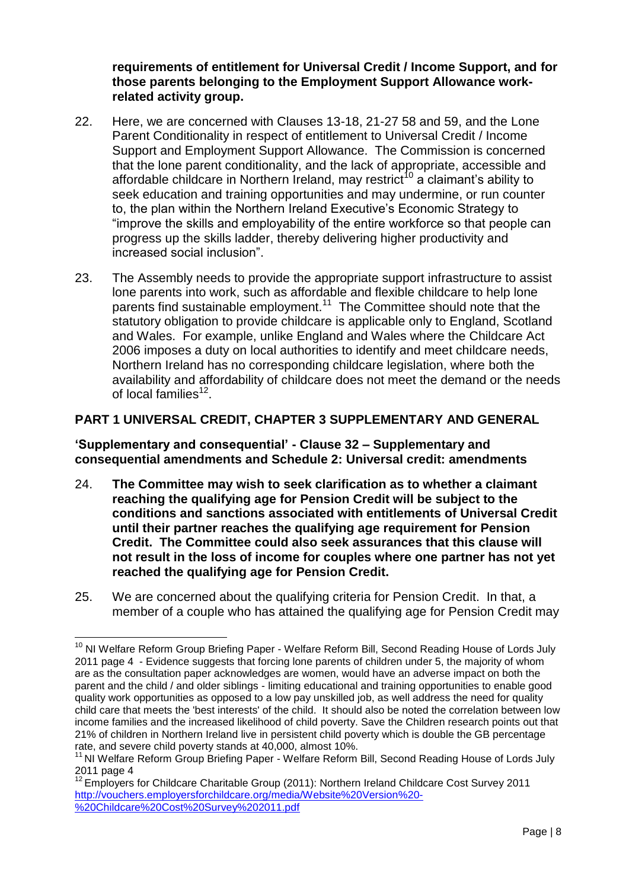**requirements of entitlement for Universal Credit / Income Support, and for those parents belonging to the Employment Support Allowance workrelated activity group.**

- 22. Here, we are concerned with Clauses 13-18, 21-27 58 and 59, and the Lone Parent Conditionality in respect of entitlement to Universal Credit / Income Support and Employment Support Allowance. The Commission is concerned that the lone parent conditionality, and the lack of appropriate, accessible and affordable childcare in Northern Ireland, may restrict<sup>10</sup> a claimant's ability to seek education and training opportunities and may undermine, or run counter to, the plan within the Northern Ireland Executive"s Economic Strategy to "improve the skills and employability of the entire workforce so that people can progress up the skills ladder, thereby delivering higher productivity and increased social inclusion".
- 23. The Assembly needs to provide the appropriate support infrastructure to assist lone parents into work, such as affordable and flexible childcare to help lone parents find sustainable employment.<sup>11</sup> The Committee should note that the statutory obligation to provide childcare is applicable only to England, Scotland and Wales. For example, unlike England and Wales where the Childcare Act 2006 imposes a duty on local authorities to identify and meet childcare needs, Northern Ireland has no corresponding childcare legislation, where both the availability and affordability of childcare does not meet the demand or the needs of local families<sup>12</sup>.

# **PART 1 UNIVERSAL CREDIT, CHAPTER 3 SUPPLEMENTARY AND GENERAL**

**'Supplementary and consequential' - Clause 32 – Supplementary and consequential amendments and Schedule 2: Universal credit: amendments**

- 24. **The Committee may wish to seek clarification as to whether a claimant reaching the qualifying age for Pension Credit will be subject to the conditions and sanctions associated with entitlements of Universal Credit until their partner reaches the qualifying age requirement for Pension Credit. The Committee could also seek assurances that this clause will not result in the loss of income for couples where one partner has not yet reached the qualifying age for Pension Credit.**
- 25. We are concerned about the qualifying criteria for Pension Credit. In that, a member of a couple who has attained the qualifying age for Pension Credit may

 $\overline{a}$  $10$  NI Welfare Reform Group Briefing Paper - Welfare Reform Bill, Second Reading House of Lords July 2011 page 4 - Evidence suggests that forcing lone parents of children under 5, the majority of whom are as the consultation paper acknowledges are women, would have an adverse impact on both the parent and the child / and older siblings - limiting educational and training opportunities to enable good quality work opportunities as opposed to a low pay unskilled job, as well address the need for quality child care that meets the 'best interests' of the child. It should also be noted the correlation between low income families and the increased likelihood of child poverty. Save the Children research points out that 21% of children in Northern Ireland live in persistent child poverty which is double the GB percentage rate, and severe child poverty stands at 40,000, almost 10%.

<sup>&</sup>lt;sup>11</sup> NI Welfare Reform Group Briefing Paper - Welfare Reform Bill, Second Reading House of Lords July 2011 page 4

<sup>&</sup>lt;sup>12</sup> Employers for Childcare Charitable Group (2011): Northern Ireland Childcare Cost Survey 2011 [http://vouchers.employersforchildcare.org/media/Website%20Version%20-](http://vouchers.employersforchildcare.org/media/Website%20Version%20-%20Childcare%20Cost%20Survey%202011.pdf) [%20Childcare%20Cost%20Survey%202011.pdf](http://vouchers.employersforchildcare.org/media/Website%20Version%20-%20Childcare%20Cost%20Survey%202011.pdf)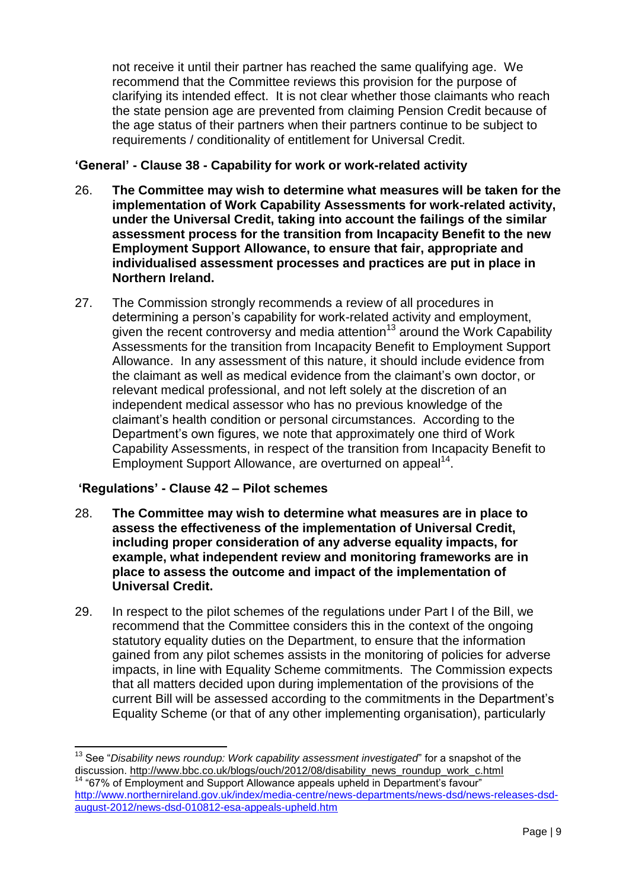not receive it until their partner has reached the same qualifying age. We recommend that the Committee reviews this provision for the purpose of clarifying its intended effect. It is not clear whether those claimants who reach the state pension age are prevented from claiming Pension Credit because of the age status of their partners when their partners continue to be subject to requirements / conditionality of entitlement for Universal Credit.

# **'General' - Clause 38 - Capability for work or work-related activity**

- 26. **The Committee may wish to determine what measures will be taken for the implementation of Work Capability Assessments for work-related activity, under the Universal Credit, taking into account the failings of the similar assessment process for the transition from Incapacity Benefit to the new Employment Support Allowance, to ensure that fair, appropriate and individualised assessment processes and practices are put in place in Northern Ireland.**
- 27. The Commission strongly recommends a review of all procedures in determining a person"s capability for work-related activity and employment, given the recent controversy and media attention<sup>13</sup> around the Work Capability Assessments for the transition from Incapacity Benefit to Employment Support Allowance. In any assessment of this nature, it should include evidence from the claimant as well as medical evidence from the claimant"s own doctor, or relevant medical professional, and not left solely at the discretion of an independent medical assessor who has no previous knowledge of the claimant"s health condition or personal circumstances. According to the Department's own figures, we note that approximately one third of Work Capability Assessments, in respect of the transition from Incapacity Benefit to Employment Support Allowance, are overturned on appeal<sup>14</sup>.

# **'Regulations' - Clause 42 – Pilot schemes**

- 28. **The Committee may wish to determine what measures are in place to assess the effectiveness of the implementation of Universal Credit, including proper consideration of any adverse equality impacts, for example, what independent review and monitoring frameworks are in place to assess the outcome and impact of the implementation of Universal Credit.**
- 29. In respect to the pilot schemes of the regulations under Part I of the Bill, we recommend that the Committee considers this in the context of the ongoing statutory equality duties on the Department, to ensure that the information gained from any pilot schemes assists in the monitoring of policies for adverse impacts, in line with Equality Scheme commitments. The Commission expects that all matters decided upon during implementation of the provisions of the current Bill will be assessed according to the commitments in the Department"s Equality Scheme (or that of any other implementing organisation), particularly

 $\overline{a}$ <sup>13</sup> See "*Disability news roundup: Work capability assessment investigated*" for a snapshot of the discussion. [http://www.bbc.co.uk/blogs/ouch/2012/08/disability\\_news\\_roundup\\_work\\_c.html](http://www.bbc.co.uk/blogs/ouch/2012/08/disability_news_roundup_work_c.html)

<sup>&</sup>lt;sup>14</sup> "67% of Employment and Support Allowance appeals upheld in Department's favour" [http://www.northernireland.gov.uk/index/media-centre/news-departments/news-dsd/news-releases-dsd](http://www.northernireland.gov.uk/index/media-centre/news-departments/news-dsd/news-releases-dsd-august-2012/news-dsd-010812-esa-appeals-upheld.htm)[august-2012/news-dsd-010812-esa-appeals-upheld.htm](http://www.northernireland.gov.uk/index/media-centre/news-departments/news-dsd/news-releases-dsd-august-2012/news-dsd-010812-esa-appeals-upheld.htm)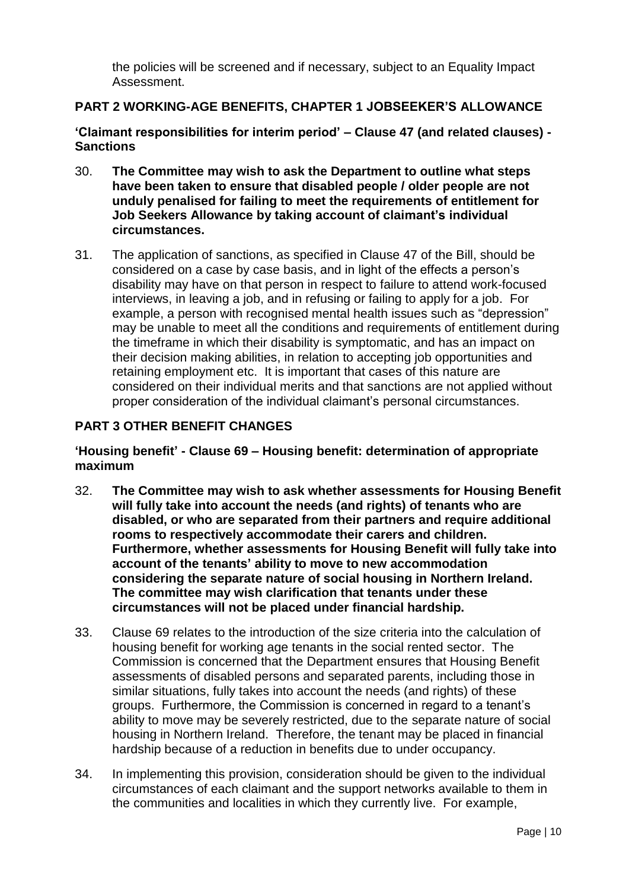the policies will be screened and if necessary, subject to an Equality Impact Assessment.

# **PART 2 WORKING-AGE BENEFITS, CHAPTER 1 JOBSEEKER'S ALLOWANCE**

**'Claimant responsibilities for interim period' – Clause 47 (and related clauses) - Sanctions**

- 30. **The Committee may wish to ask the Department to outline what steps have been taken to ensure that disabled people / older people are not unduly penalised for failing to meet the requirements of entitlement for Job Seekers Allowance by taking account of claimant's individual circumstances.**
- 31. The application of sanctions, as specified in Clause 47 of the Bill, should be considered on a case by case basis, and in light of the effects a person"s disability may have on that person in respect to failure to attend work-focused interviews, in leaving a job, and in refusing or failing to apply for a job. For example, a person with recognised mental health issues such as "depression" may be unable to meet all the conditions and requirements of entitlement during the timeframe in which their disability is symptomatic, and has an impact on their decision making abilities, in relation to accepting job opportunities and retaining employment etc. It is important that cases of this nature are considered on their individual merits and that sanctions are not applied without proper consideration of the individual claimant"s personal circumstances.

### **PART 3 OTHER BENEFIT CHANGES**

**'Housing benefit' - Clause 69 – Housing benefit: determination of appropriate maximum**

- 32. **The Committee may wish to ask whether assessments for Housing Benefit will fully take into account the needs (and rights) of tenants who are disabled, or who are separated from their partners and require additional rooms to respectively accommodate their carers and children. Furthermore, whether assessments for Housing Benefit will fully take into account of the tenants' ability to move to new accommodation considering the separate nature of social housing in Northern Ireland. The committee may wish clarification that tenants under these circumstances will not be placed under financial hardship.**
- 33. Clause 69 relates to the introduction of the size criteria into the calculation of housing benefit for working age tenants in the social rented sector. The Commission is concerned that the Department ensures that Housing Benefit assessments of disabled persons and separated parents, including those in similar situations, fully takes into account the needs (and rights) of these groups. Furthermore, the Commission is concerned in regard to a tenant"s ability to move may be severely restricted, due to the separate nature of social housing in Northern Ireland. Therefore, the tenant may be placed in financial hardship because of a reduction in benefits due to under occupancy.
- 34. In implementing this provision, consideration should be given to the individual circumstances of each claimant and the support networks available to them in the communities and localities in which they currently live. For example,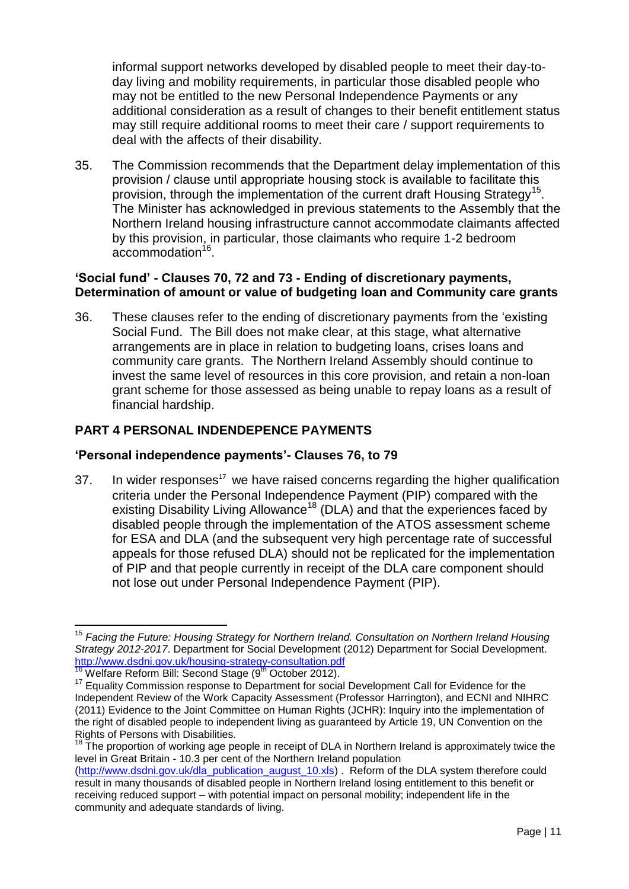informal support networks developed by disabled people to meet their day-today living and mobility requirements, in particular those disabled people who may not be entitled to the new Personal Independence Payments or any additional consideration as a result of changes to their benefit entitlement status may still require additional rooms to meet their care / support requirements to deal with the affects of their disability.

35. The Commission recommends that the Department delay implementation of this provision / clause until appropriate housing stock is available to facilitate this provision, through the implementation of the current draft Housing Strategy<sup>15</sup>. The Minister has acknowledged in previous statements to the Assembly that the Northern Ireland housing infrastructure cannot accommodate claimants affected by this provision, in particular, those claimants who require 1-2 bedroom accommodation<sup>16</sup>.

# **'Social fund' - Clauses 70, 72 and 73 - Ending of discretionary payments, Determination of amount or value of budgeting loan and Community care grants**

36. These clauses refer to the ending of discretionary payments from the "existing Social Fund. The Bill does not make clear, at this stage, what alternative arrangements are in place in relation to budgeting loans, crises loans and community care grants. The Northern Ireland Assembly should continue to invest the same level of resources in this core provision, and retain a non-loan grant scheme for those assessed as being unable to repay loans as a result of financial hardship.

# **PART 4 PERSONAL INDENDEPENCE PAYMENTS**

### **'Personal independence payments'- Clauses 76, to 79**

 $37.$  In wider responses<sup>17</sup> we have raised concerns regarding the higher qualification criteria under the Personal Independence Payment (PIP) compared with the existing Disability Living Allowance<sup>18</sup> (DLA) and that the experiences faced by disabled people through the implementation of the ATOS assessment scheme for ESA and DLA (and the subsequent very high percentage rate of successful appeals for those refused DLA) should not be replicated for the implementation of PIP and that people currently in receipt of the DLA care component should not lose out under Personal Independence Payment (PIP).

 $\overline{\phantom{a}}$ <sup>15</sup> *Facing the Future: Housing Strategy for Northern Ireland. Consultation on Northern Ireland Housing Strategy 2012-2017*. Department for Social Development (2012) Department for Social Development. <http://www.dsdni.gov.uk/housing-strategy-consultation.pdf>

<sup>&</sup>lt;sup>16</sup> Welfare Reform Bill: Second Stage (9<sup>th</sup> October 2012).

<sup>&</sup>lt;sup>17</sup> Equality Commission response to Department for social Development Call for Evidence for the Independent Review of the Work Capacity Assessment (Professor Harrington), and ECNI and NIHRC (2011) Evidence to the Joint Committee on Human Rights (JCHR): Inquiry into the implementation of the right of disabled people to independent living as guaranteed by Article 19, UN Convention on the Rights of Persons with Disabilities.

<sup>&</sup>lt;sup>18</sup> The proportion of working age people in receipt of DLA in Northern Ireland is approximately twice the level in Great Britain - 10.3 per cent of the Northern Ireland population

[<sup>\(</sup>http://www.dsdni.gov.uk/dla\\_publication\\_august\\_10.xls\)](http://www.dsdni.gov.uk/dla_publication_august_10.xls) . Reform of the DLA system therefore could result in many thousands of disabled people in Northern Ireland losing entitlement to this benefit or receiving reduced support – with potential impact on personal mobility; independent life in the community and adequate standards of living.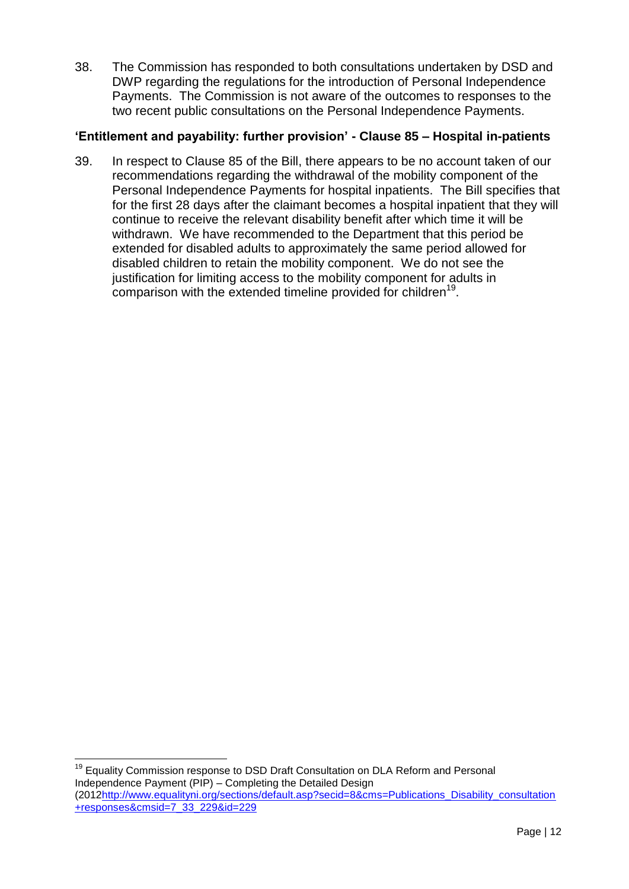38. The Commission has responded to both consultations undertaken by DSD and DWP regarding the regulations for the introduction of Personal Independence Payments. The Commission is not aware of the outcomes to responses to the two recent public consultations on the Personal Independence Payments.

# **'Entitlement and payability: further provision' - Clause 85 – Hospital in-patients**

39. In respect to Clause 85 of the Bill, there appears to be no account taken of our recommendations regarding the withdrawal of the mobility component of the Personal Independence Payments for hospital inpatients. The Bill specifies that for the first 28 days after the claimant becomes a hospital inpatient that they will continue to receive the relevant disability benefit after which time it will be withdrawn. We have recommended to the Department that this period be extended for disabled adults to approximately the same period allowed for disabled children to retain the mobility component. We do not see the justification for limiting access to the mobility component for adults in comparison with the extended timeline provided for children<sup>19</sup>.

<sup>19</sup> Equality Commission response to DSD Draft Consultation on DLA Reform and Personal Independence Payment (PIP) – Completing the Detailed Design (201[2http://www.equalityni.org/sections/default.asp?secid=8&cms=Publications\\_Disability\\_consultation](http://www.equalityni.org/sections/default.asp?secid=8&cms=Publications_Disability_consultation+responses&cmsid=7_33_229&id=229) [+responses&cmsid=7\\_33\\_229&id=229](http://www.equalityni.org/sections/default.asp?secid=8&cms=Publications_Disability_consultation+responses&cmsid=7_33_229&id=229)

 $\overline{\phantom{a}}$